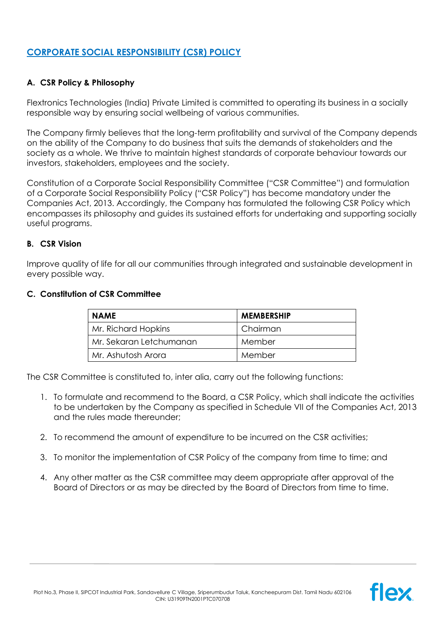# **CORPORATE SOCIAL RESPONSIBILITY (CSR) POLICY**

## **A. CSR Policy & Philosophy**

Flextronics Technologies (India) Private Limited is committed to operating its business in a socially responsible way by ensuring social wellbeing of various communities.

The Company firmly believes that the long-term profitability and survival of the Company depends on the ability of the Company to do business that suits the demands of stakeholders and the society as a whole. We thrive to maintain highest standards of corporate behaviour towards our investors, stakeholders, employees and the society.

Constitution of a Corporate Social Responsibility Committee ("CSR Committee") and formulation of a Corporate Social Responsibility Policy ("CSR Policy") has become mandatory under the Companies Act, 2013. Accordingly, the Company has formulated the following CSR Policy which encompasses its philosophy and guides its sustained efforts for undertaking and supporting socially useful programs.

#### **B. CSR Vision**

Improve quality of life for all our communities through integrated and sustainable development in every possible way.

#### **C. Constitution of CSR Committee**

| <b>NAME</b>             | <b>MEMBERSHIP</b> |
|-------------------------|-------------------|
| Mr. Richard Hopkins     | Chairman          |
| Mr. Sekaran Letchumanan | Member            |
| Mr. Ashutosh Arora      | Member            |

The CSR Committee is constituted to, inter alia, carry out the following functions:

- 1. To formulate and recommend to the Board, a CSR Policy, which shall indicate the activities to be undertaken by the Company as specified in Schedule VII of the Companies Act, 2013 and the rules made thereunder;
- 2. To recommend the amount of expenditure to be incurred on the CSR activities;
- 3. To monitor the implementation of CSR Policy of the company from time to time; and
- 4. Any other matter as the CSR committee may deem appropriate after approval of the Board of Directors or as may be directed by the Board of Directors from time to time.

flex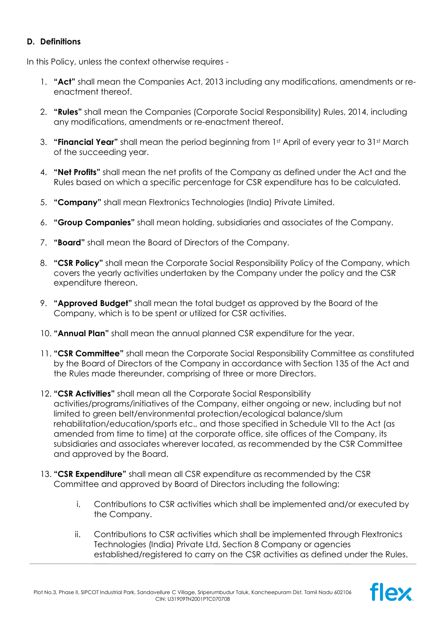## **D. Definitions**

In this Policy, unless the context otherwise requires -

- 1. **"Act"** shall mean the Companies Act, 2013 including any modifications, amendments or reenactment thereof.
- 2. **"Rules"** shall mean the Companies (Corporate Social Responsibility) Rules, 2014, including any modifications, amendments or re-enactment thereof.
- 3. **"Financial Year"** shall mean the period beginning from 1st April of every year to 31st March of the succeeding year.
- 4. **"Net Profits"** shall mean the net profits of the Company as defined under the Act and the Rules based on which a specific percentage for CSR expenditure has to be calculated.
- 5. **"Company"** shall mean Flextronics Technologies (India) Private Limited.
- 6. **"Group Companies"** shall mean holding, subsidiaries and associates of the Company.
- 7. **"Board"** shall mean the Board of Directors of the Company.
- 8. **"CSR Policy"** shall mean the Corporate Social Responsibility Policy of the Company, which covers the yearly activities undertaken by the Company under the policy and the CSR expenditure thereon.
- 9. **"Approved Budget"** shall mean the total budget as approved by the Board of the Company, which is to be spent or utilized for CSR activities.
- 10. **"Annual Plan"** shall mean the annual planned CSR expenditure for the year.
- 11. **"CSR Committee"** shall mean the Corporate Social Responsibility Committee as constituted by the Board of Directors of the Company in accordance with Section 135 of the Act and the Rules made thereunder, comprising of three or more Directors.
- 12. **"CSR Activities"** shall mean all the Corporate Social Responsibility activities/programs/initiatives of the Company, either ongoing or new, including but not limited to green belt/environmental protection/ecological balance/slum rehabilitation/education/sports etc., and those specified in Schedule VII to the Act (as amended from time to time) at the corporate office, site offices of the Company, its subsidiaries and associates wherever located, as recommended by the CSR Committee and approved by the Board.
- 13. **"CSR Expenditure"** shall mean all CSR expenditure as recommended by the CSR Committee and approved by Board of Directors including the following:
	- i. Contributions to CSR activities which shall be implemented and/or executed by the Company.
	- ii. Contributions to CSR activities which shall be implemented through Flextronics Technologies (India) Private Ltd, Section 8 Company or agencies established/registered to carry on the CSR activities as defined under the Rules.

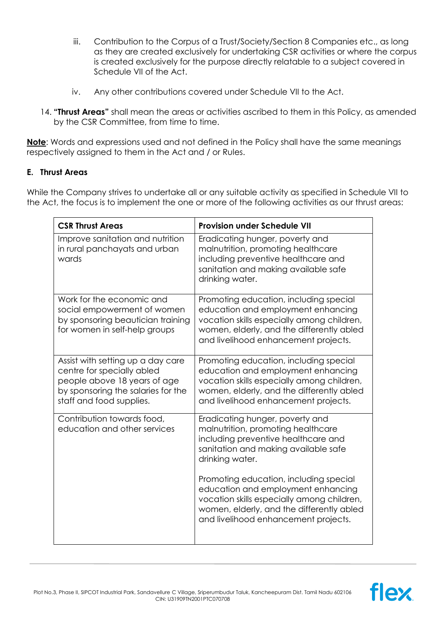- iii. Contribution to the Corpus of a Trust/Society/Section 8 Companies etc., as long as they are created exclusively for undertaking CSR activities or where the corpus is created exclusively for the purpose directly relatable to a subject covered in Schedule VII of the Act.
- iv. Any other contributions covered under Schedule VII to the Act.
- 14. **"Thrust Areas"** shall mean the areas or activities ascribed to them in this Policy, as amended by the CSR Committee, from time to time.

**Note**: Words and expressions used and not defined in the Policy shall have the same meanings respectively assigned to them in the Act and / or Rules.

## **E. Thrust Areas**

While the Company strives to undertake all or any suitable activity as specified in Schedule VII to the Act, the focus is to implement the one or more of the following activities as our thrust areas:

| <b>CSR Thrust Areas</b>                                                                                                                                           | <b>Provision under Schedule VII</b>                                                                                                                                                                                                                                                                                                                                                        |
|-------------------------------------------------------------------------------------------------------------------------------------------------------------------|--------------------------------------------------------------------------------------------------------------------------------------------------------------------------------------------------------------------------------------------------------------------------------------------------------------------------------------------------------------------------------------------|
| Improve sanitation and nutrition<br>in rural panchayats and urban<br>wards                                                                                        | Eradicating hunger, poverty and<br>malnutrition, promoting healthcare<br>including preventive healthcare and<br>sanitation and making available safe<br>drinking water.                                                                                                                                                                                                                    |
| Work for the economic and<br>social empowerment of women<br>by sponsoring beautician training<br>for women in self-help groups                                    | Promoting education, including special<br>education and employment enhancing<br>vocation skills especially among children,<br>women, elderly, and the differently abled<br>and livelihood enhancement projects.                                                                                                                                                                            |
| Assist with setting up a day care<br>centre for specially abled<br>people above 18 years of age<br>by sponsoring the salaries for the<br>staff and food supplies. | Promoting education, including special<br>education and employment enhancing<br>vocation skills especially among children,<br>women, elderly, and the differently abled<br>and livelihood enhancement projects.                                                                                                                                                                            |
| Contribution towards food,<br>education and other services                                                                                                        | Eradicating hunger, poverty and<br>malnutrition, promoting healthcare<br>including preventive healthcare and<br>sanitation and making available safe<br>drinking water.<br>Promoting education, including special<br>education and employment enhancing<br>vocation skills especially among children,<br>women, elderly, and the differently abled<br>and livelihood enhancement projects. |

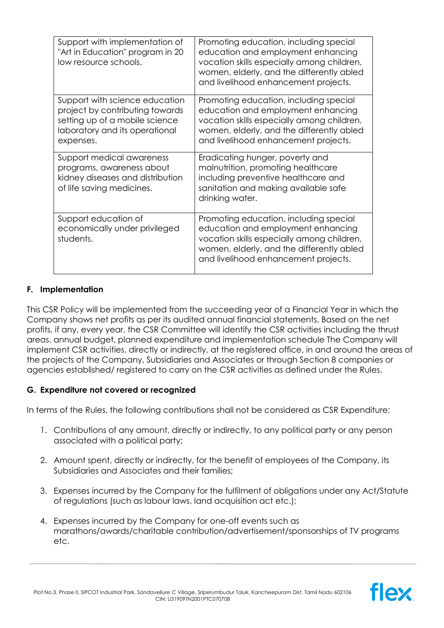| Support with implementation of<br>"Art in Education" program in 20<br>low resource schools.                                                        | Promoting education, including special<br>education and employment enhancing<br>vocation skills especially among children,<br>women, elderly, and the differently abled<br>and livelihood enhancement projects. |
|----------------------------------------------------------------------------------------------------------------------------------------------------|-----------------------------------------------------------------------------------------------------------------------------------------------------------------------------------------------------------------|
| Support with science education<br>project by contributing towards<br>setting up of a mobile science<br>laboratory and its operational<br>expenses. | Promoting education, including special<br>education and employment enhancing<br>vocation skills especially among children,<br>women, elderly, and the differently abled<br>and livelihood enhancement projects. |
| Support medical awareness<br>programs, awareness about<br>kidney diseases and distribution<br>of life saving medicines.                            | Eradicating hunger, poverty and<br>malnutrition, promoting healthcare<br>including preventive healthcare and<br>sanitation and making available safe<br>drinking water.                                         |
| Support education of<br>economically under privileged<br>students.                                                                                 | Promoting education, including special<br>education and employment enhancing<br>vocation skills especially among children,<br>women, elderly, and the differently abled<br>and livelihood enhancement projects. |

## **F. Implementation**

This CSR Policy will be implemented from the succeeding year of a Financial Year in which the Company shows net profits as per its audited annual financial statements. Based on the net profits, if any, every year, the CSR Committee will identify the CSR activities including the thrust areas, annual budget, planned expenditure and implementation schedule The Company will implement CSR activities, directly or indirectly, at the registered office, in and around the areas of the projects of the Company, Subsidiaries and Associates or through Section 8 companies or agencies established/ registered to carry on the CSR activities as defined under the Rules.

# **G. Expenditure not covered or recognized**

In terms of the Rules, the following contributions shall not be considered as CSR Expenditure:

- 1. Contributions of any amount, directly or indirectly, to any political party or any person associated with a political party;
- 2. Amount spent, directly or indirectly, for the benefit of employees of the Company, its Subsidiaries and Associates and their families;
- 3. Expenses incurred by the Company for the fulfilment of obligations under any Act/Statute of regulations (such as labour laws, land acquisition act etc.);
- 4. Expenses incurred by the Company for one-off events such as marathons/awards/charitable contribution/advertisement/sponsorships of TV programs etc.

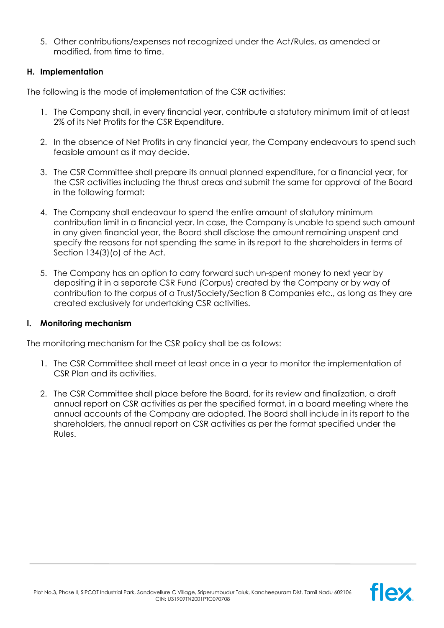5. Other contributions/expenses not recognized under the Act/Rules, as amended or modified, from time to time.

## **H. Implementation**

The following is the mode of implementation of the CSR activities:

- 1. The Company shall, in every financial year, contribute a statutory minimum limit of at least 2% of its Net Profits for the CSR Expenditure.
- 2. In the absence of Net Profits in any financial year, the Company endeavours to spend such feasible amount as it may decide.
- 3. The CSR Committee shall prepare its annual planned expenditure, for a financial year, for the CSR activities including the thrust areas and submit the same for approval of the Board in the following format:
- 4. The Company shall endeavour to spend the entire amount of statutory minimum contribution limit in a financial year. In case, the Company is unable to spend such amount in any given financial year, the Board shall disclose the amount remaining unspent and specify the reasons for not spending the same in its report to the shareholders in terms of Section 134(3)(o) of the Act.
- 5. The Company has an option to carry forward such un-spent money to next year by depositing it in a separate CSR Fund (Corpus) created by the Company or by way of contribution to the corpus of a Trust/Society/Section 8 Companies etc., as long as they are created exclusively for undertaking CSR activities.

## **I. Monitoring mechanism**

The monitoring mechanism for the CSR policy shall be as follows:

- 1. The CSR Committee shall meet at least once in a year to monitor the implementation of CSR Plan and its activities.
- 2. The CSR Committee shall place before the Board, for its review and finalization, a draft annual report on CSR activities as per the specified format, in a board meeting where the annual accounts of the Company are adopted. The Board shall include in its report to the shareholders, the annual report on CSR activities as per the format specified under the Rules.

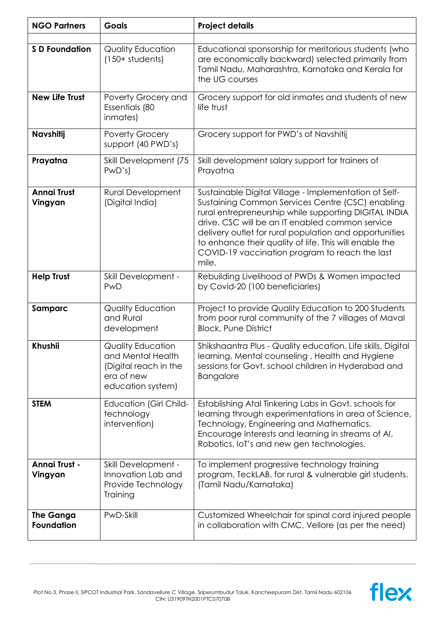| <b>NGO Partners</b>            | <b>Goals</b>                                                                                       | <b>Project details</b>                                                                                                                                                                                                                                                                                                                                                                               |
|--------------------------------|----------------------------------------------------------------------------------------------------|------------------------------------------------------------------------------------------------------------------------------------------------------------------------------------------------------------------------------------------------------------------------------------------------------------------------------------------------------------------------------------------------------|
| <b>S D Foundation</b>          | Quality Education<br>$(150+ students)$                                                             | Educational sponsorship for meritorious students (who<br>are economically backward) selected primarily from<br>Tamil Nadu, Maharashtra, Karnataka and Kerala for<br>the UG courses                                                                                                                                                                                                                   |
| <b>New Life Trust</b>          | Poverty Grocery and<br>Essentials (80<br>inmates)                                                  | Grocery support for old inmates and students of new<br>life trust                                                                                                                                                                                                                                                                                                                                    |
| Navshitij                      | <b>Poverty Grocery</b><br>support (40 PWD's)                                                       | Grocery support for PWD's of Navshitij                                                                                                                                                                                                                                                                                                                                                               |
| Prayatna                       | Skill Development (75<br>PWD's                                                                     | Skill development salary support for trainers of<br>Prayatna                                                                                                                                                                                                                                                                                                                                         |
| <b>Annai Trust</b><br>Vingyan  | <b>Rural Development</b><br>(Digital India)                                                        | Sustainable Digital Village - Implementation of Self-<br>Sustaining Common Services Centre (CSC) enabling<br>rural entrepreneurship while supporting DIGITAL INDIA<br>drive. CSC will be an IT enabled common service<br>delivery outlet for rural population and opportunities<br>to enhance their quality of life. This will enable the<br>COVID-19 vaccination program to reach the last<br>mile. |
| <b>Help Trust</b>              | Skill Development -<br>PwD                                                                         | Rebuilding Livelihood of PWDs & Women impacted<br>by Covid-20 (100 beneficiaries)                                                                                                                                                                                                                                                                                                                    |
| Samparc                        | Quality Education<br>and Rural<br>development                                                      | Project to provide Quality Education to 200 Students<br>from poor rural community of the 7 villages of Maval<br><b>Block, Pune District</b>                                                                                                                                                                                                                                                          |
| Khushii                        | Quality Education<br>and Mental Health<br>(Digital reach in the<br>era of new<br>education system) | Shikshaantra Plus - Quality education, Life skills, Digital<br>learning, Mental counseling, Health and Hygiene<br>sessions for Govt. school children in Hyderabad and<br>Bangalore                                                                                                                                                                                                                   |
| <b>STEM</b>                    | <b>Education (Girl Child-</b><br>technology<br>intervention)                                       | Establishing Atal Tinkering Labs in Govt. schools for<br>learning through experimentations in area of Science,<br>Technology, Engineering and Mathematics.<br>Encourage Interests and learning in streams of AI,<br>Robotics, IoT's and new gen technologies.                                                                                                                                        |
| Annai Trust -<br>Vingyan       | Skill Development -<br>Innovation Lab and<br>Provide Technology<br>Training                        | To implement progressive technology training<br>program, TeckLAB, for rural & vulnerable girl students.<br>(Tamil Nadu/Karnataka)                                                                                                                                                                                                                                                                    |
| <b>The Ganga</b><br>Foundation | PwD-Skill                                                                                          | Customized Wheelchair for spinal cord injured people<br>in collaboration with CMC, Vellore (as per the need)                                                                                                                                                                                                                                                                                         |